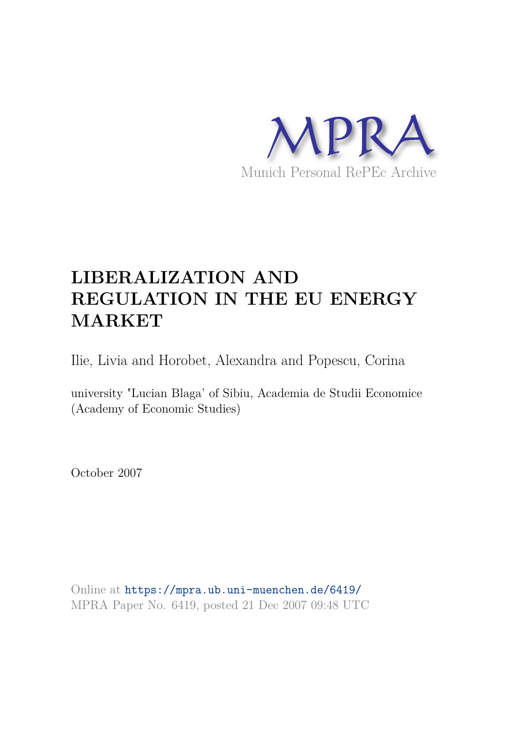

# **LIBERALIZATION AND REGULATION IN THE EU ENERGY MARKET**

Ilie, Livia and Horobet, Alexandra and Popescu, Corina

university "Lucian Blaga' of Sibiu, Academia de Studii Economice (Academy of Economic Studies)

October 2007

Online at https://mpra.ub.uni-muenchen.de/6419/ MPRA Paper No. 6419, posted 21 Dec 2007 09:48 UTC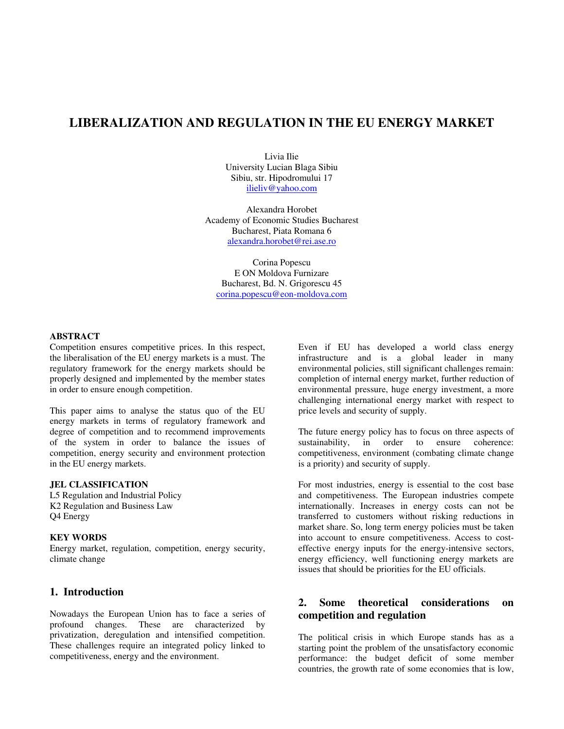# **LIBERALIZATION AND REGULATION IN THE EU ENERGY MARKET**

Livia Ilie University Lucian Blaga Sibiu Sibiu, str. Hipodromului 17 ilieliv@yahoo.com

Alexandra Horobet Academy of Economic Studies Bucharest Bucharest, Piata Romana 6 alexandra.horobet@rei.ase.ro

Corina Popescu E ON Moldova Furnizare Bucharest, Bd. N. Grigorescu 45 corina.popescu@eon-moldova.com

#### **ABSTRACT**

Competition ensures competitive prices. In this respect, the liberalisation of the EU energy markets is a must. The regulatory framework for the energy markets should be properly designed and implemented by the member states in order to ensure enough competition.

This paper aims to analyse the status quo of the EU energy markets in terms of regulatory framework and degree of competition and to recommend improvements of the system in order to balance the issues of competition, energy security and environment protection in the EU energy markets.

#### **JEL CLASSIFICATION**

L5 Regulation and Industrial Policy K2 Regulation and Business Law Q4 Energy

#### **KEY WORDS**

Energy market, regulation, competition, energy security, climate change

#### **1. Introduction**

Nowadays the European Union has to face a series of profound changes. These are characterized by privatization, deregulation and intensified competition. These challenges require an integrated policy linked to competitiveness, energy and the environment.

Even if EU has developed a world class energy infrastructure and is a global leader in many environmental policies, still significant challenges remain: completion of internal energy market, further reduction of environmental pressure, huge energy investment, a more challenging international energy market with respect to price levels and security of supply.

The future energy policy has to focus on three aspects of sustainability, in order to ensure coherence: competitiveness, environment (combating climate change is a priority) and security of supply.

For most industries, energy is essential to the cost base and competitiveness. The European industries compete internationally. Increases in energy costs can not be transferred to customers without risking reductions in market share. So, long term energy policies must be taken into account to ensure competitiveness. Access to costeffective energy inputs for the energy-intensive sectors, energy efficiency, well functioning energy markets are issues that should be priorities for the EU officials.

## **2. Some theoretical considerations on competition and regulation**

The political crisis in which Europe stands has as a starting point the problem of the unsatisfactory economic performance: the budget deficit of some member countries, the growth rate of some economies that is low,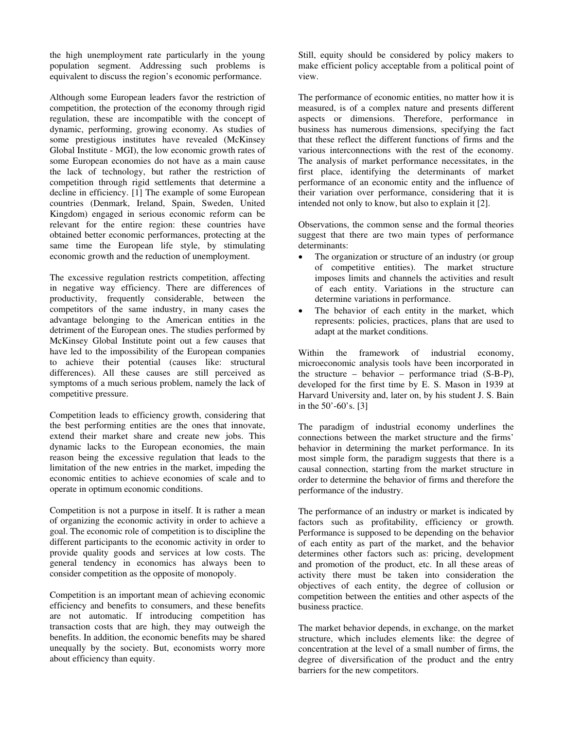the high unemployment rate particularly in the young population segment. Addressing such problems is equivalent to discuss the region's economic performance.

Although some European leaders favor the restriction of competition, the protection of the economy through rigid regulation, these are incompatible with the concept of dynamic, performing, growing economy. As studies of some prestigious institutes have revealed (McKinsey Global Institute - MGI), the low economic growth rates of some European economies do not have as a main cause the lack of technology, but rather the restriction of competition through rigid settlements that determine a decline in efficiency. [1] The example of some European countries (Denmark, Ireland, Spain, Sweden, United Kingdom) engaged in serious economic reform can be relevant for the entire region: these countries have obtained better economic performances, protecting at the same time the European life style, by stimulating economic growth and the reduction of unemployment.

The excessive regulation restricts competition, affecting in negative way efficiency. There are differences of productivity, frequently considerable, between the competitors of the same industry, in many cases the advantage belonging to the American entities in the detriment of the European ones. The studies performed by McKinsey Global Institute point out a few causes that have led to the impossibility of the European companies to achieve their potential (causes like: structural differences). All these causes are still perceived as symptoms of a much serious problem, namely the lack of competitive pressure.

Competition leads to efficiency growth, considering that the best performing entities are the ones that innovate, extend their market share and create new jobs. This dynamic lacks to the European economies, the main reason being the excessive regulation that leads to the limitation of the new entries in the market, impeding the economic entities to achieve economies of scale and to operate in optimum economic conditions.

Competition is not a purpose in itself. It is rather a mean of organizing the economic activity in order to achieve a goal. The economic role of competition is to discipline the different participants to the economic activity in order to provide quality goods and services at low costs. The general tendency in economics has always been to consider competition as the opposite of monopoly.

Competition is an important mean of achieving economic efficiency and benefits to consumers, and these benefits are not automatic. If introducing competition has transaction costs that are high, they may outweigh the benefits. In addition, the economic benefits may be shared unequally by the society. But, economists worry more about efficiency than equity.

Still, equity should be considered by policy makers to make efficient policy acceptable from a political point of view.

The performance of economic entities, no matter how it is measured, is of a complex nature and presents different aspects or dimensions. Therefore, performance in business has numerous dimensions, specifying the fact that these reflect the different functions of firms and the various interconnections with the rest of the economy. The analysis of market performance necessitates, in the first place, identifying the determinants of market performance of an economic entity and the influence of their variation over performance, considering that it is intended not only to know, but also to explain it [2].

Observations, the common sense and the formal theories suggest that there are two main types of performance determinants:

- The organization or structure of an industry (or group of competitive entities). The market structure imposes limits and channels the activities and result of each entity. Variations in the structure can determine variations in performance.
- The behavior of each entity in the market, which represents: policies, practices, plans that are used to adapt at the market conditions.

Within the framework of industrial economy, microeconomic analysis tools have been incorporated in the structure – behavior – performance triad (S-B-P), developed for the first time by E. S. Mason in 1939 at Harvard University and, later on, by his student J. S. Bain in the 50'-60's. [3]

The paradigm of industrial economy underlines the connections between the market structure and the firms' behavior in determining the market performance. In its most simple form, the paradigm suggests that there is a causal connection, starting from the market structure in order to determine the behavior of firms and therefore the performance of the industry.

The performance of an industry or market is indicated by factors such as profitability, efficiency or growth. Performance is supposed to be depending on the behavior of each entity as part of the market, and the behavior determines other factors such as: pricing, development and promotion of the product, etc. In all these areas of activity there must be taken into consideration the objectives of each entity, the degree of collusion or competition between the entities and other aspects of the business practice.

The market behavior depends, in exchange, on the market structure, which includes elements like: the degree of concentration at the level of a small number of firms, the degree of diversification of the product and the entry barriers for the new competitors.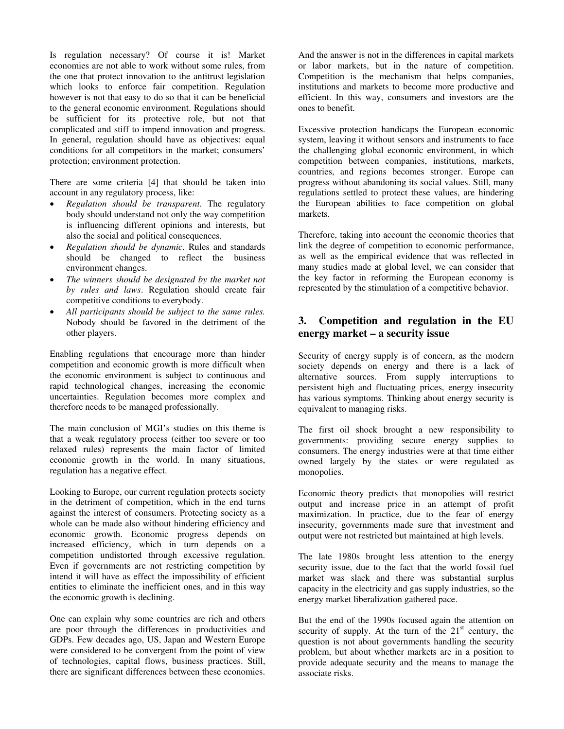Is regulation necessary? Of course it is! Market economies are not able to work without some rules, from the one that protect innovation to the antitrust legislation which looks to enforce fair competition. Regulation however is not that easy to do so that it can be beneficial to the general economic environment. Regulations should be sufficient for its protective role, but not that complicated and stiff to impend innovation and progress. In general, regulation should have as objectives: equal conditions for all competitors in the market; consumers' protection; environment protection.

There are some criteria [4] that should be taken into account in any regulatory process, like:

- *Regulation should be transparent*. The regulatory body should understand not only the way competition is influencing different opinions and interests, but also the social and political consequences.
- *Regulation should be dynamic*. Rules and standards should be changed to reflect the business environment changes.
- *The winners should be designated by the market not by rules and laws*. Regulation should create fair competitive conditions to everybody.
- *All participants should be subject to the same rules.* Nobody should be favored in the detriment of the other players.

Enabling regulations that encourage more than hinder competition and economic growth is more difficult when the economic environment is subject to continuous and rapid technological changes, increasing the economic uncertainties. Regulation becomes more complex and therefore needs to be managed professionally.

The main conclusion of MGI's studies on this theme is that a weak regulatory process (either too severe or too relaxed rules) represents the main factor of limited economic growth in the world. In many situations, regulation has a negative effect.

Looking to Europe, our current regulation protects society in the detriment of competition, which in the end turns against the interest of consumers. Protecting society as a whole can be made also without hindering efficiency and economic growth. Economic progress depends on increased efficiency, which in turn depends on a competition undistorted through excessive regulation. Even if governments are not restricting competition by intend it will have as effect the impossibility of efficient entities to eliminate the inefficient ones, and in this way the economic growth is declining.

One can explain why some countries are rich and others are poor through the differences in productivities and GDPs. Few decades ago, US, Japan and Western Europe were considered to be convergent from the point of view of technologies, capital flows, business practices. Still, there are significant differences between these economies. And the answer is not in the differences in capital markets or labor markets, but in the nature of competition. Competition is the mechanism that helps companies, institutions and markets to become more productive and efficient. In this way, consumers and investors are the ones to benefit.

Excessive protection handicaps the European economic system, leaving it without sensors and instruments to face the challenging global economic environment, in which competition between companies, institutions, markets, countries, and regions becomes stronger. Europe can progress without abandoning its social values. Still, many regulations settled to protect these values, are hindering the European abilities to face competition on global markets.

Therefore, taking into account the economic theories that link the degree of competition to economic performance, as well as the empirical evidence that was reflected in many studies made at global level, we can consider that the key factor in reforming the European economy is represented by the stimulation of a competitive behavior.

## **3. Competition and regulation in the EU energy market – a security issue**

Security of energy supply is of concern, as the modern society depends on energy and there is a lack of alternative sources. From supply interruptions to persistent high and fluctuating prices, energy insecurity has various symptoms. Thinking about energy security is equivalent to managing risks.

The first oil shock brought a new responsibility to governments: providing secure energy supplies to consumers. The energy industries were at that time either owned largely by the states or were regulated as monopolies.

Economic theory predicts that monopolies will restrict output and increase price in an attempt of profit maximization. In practice, due to the fear of energy insecurity, governments made sure that investment and output were not restricted but maintained at high levels.

The late 1980s brought less attention to the energy security issue, due to the fact that the world fossil fuel market was slack and there was substantial surplus capacity in the electricity and gas supply industries, so the energy market liberalization gathered pace.

But the end of the 1990s focused again the attention on security of supply. At the turn of the  $21<sup>st</sup>$  century, the question is not about governments handling the security problem, but about whether markets are in a position to provide adequate security and the means to manage the associate risks.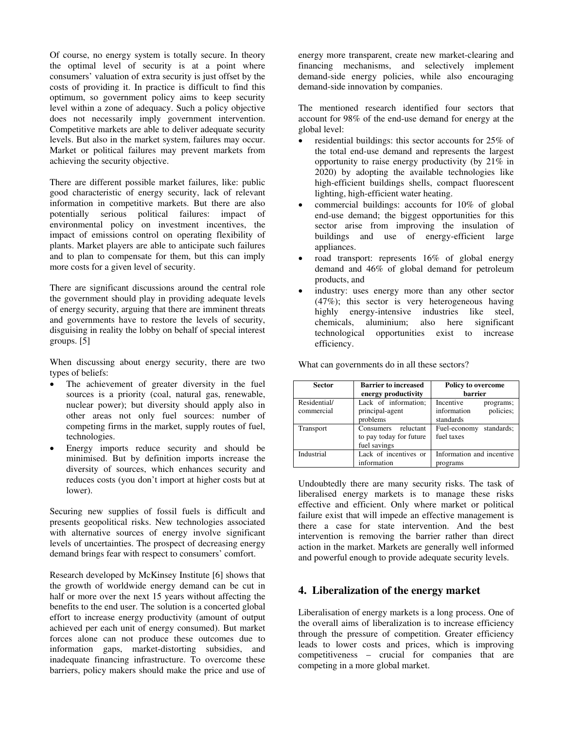Of course, no energy system is totally secure. In theory the optimal level of security is at a point where consumers' valuation of extra security is just offset by the costs of providing it. In practice is difficult to find this optimum, so government policy aims to keep security level within a zone of adequacy. Such a policy objective does not necessarily imply government intervention. Competitive markets are able to deliver adequate security levels. But also in the market system, failures may occur. Market or political failures may prevent markets from achieving the security objective.

There are different possible market failures, like: public good characteristic of energy security, lack of relevant information in competitive markets. But there are also potentially serious political failures: impact of environmental policy on investment incentives, the impact of emissions control on operating flexibility of plants. Market players are able to anticipate such failures and to plan to compensate for them, but this can imply more costs for a given level of security.

There are significant discussions around the central role the government should play in providing adequate levels of energy security, arguing that there are imminent threats and governments have to restore the levels of security, disguising in reality the lobby on behalf of special interest groups. [5]

When discussing about energy security, there are two types of beliefs:

- The achievement of greater diversity in the fuel sources is a priority (coal, natural gas, renewable, nuclear power); but diversity should apply also in other areas not only fuel sources: number of competing firms in the market, supply routes of fuel, technologies.
- Energy imports reduce security and should be minimised. But by definition imports increase the diversity of sources, which enhances security and reduces costs (you don't import at higher costs but at lower).

Securing new supplies of fossil fuels is difficult and presents geopolitical risks. New technologies associated with alternative sources of energy involve significant levels of uncertainties. The prospect of decreasing energy demand brings fear with respect to consumers' comfort.

Research developed by McKinsey Institute [6] shows that the growth of worldwide energy demand can be cut in half or more over the next 15 years without affecting the benefits to the end user. The solution is a concerted global effort to increase energy productivity (amount of output achieved per each unit of energy consumed). But market forces alone can not produce these outcomes due to information gaps, market-distorting subsidies, and inadequate financing infrastructure. To overcome these barriers, policy makers should make the price and use of

energy more transparent, create new market-clearing and financing mechanisms, and selectively implement demand-side energy policies, while also encouraging demand-side innovation by companies.

The mentioned research identified four sectors that account for 98% of the end-use demand for energy at the global level:

- residential buildings: this sector accounts for 25% of the total end-use demand and represents the largest opportunity to raise energy productivity (by 21% in 2020) by adopting the available technologies like high-efficient buildings shells, compact fluorescent lighting, high-efficient water heating.
- commercial buildings: accounts for 10% of global end-use demand; the biggest opportunities for this sector arise from improving the insulation of buildings and use of energy-efficient large appliances.
- road transport: represents 16% of global energy demand and 46% of global demand for petroleum products, and
- industry: uses energy more than any other sector (47%); this sector is very heterogeneous having highly energy-intensive industries like steel, chemicals, aluminium; also here significant technological opportunities exist to increase efficiency.

What can governments do in all these sectors?

| <b>Sector</b>              | <b>Barrier to increased</b><br>energy productivity                | <b>Policy to overcome</b><br>barrier                            |
|----------------------------|-------------------------------------------------------------------|-----------------------------------------------------------------|
| Residential/<br>commercial | Lack of information;<br>principal-agent<br>problems               | Incentive<br>programs;<br>policies;<br>information<br>standards |
| Transport                  | reluctant<br>Consumers<br>to pay today for future<br>fuel savings | standards;<br>Fuel-economy<br>fuel taxes                        |
| Industrial                 | Lack of incentives or<br>information                              | Information and incentive<br>programs                           |

Undoubtedly there are many security risks. The task of liberalised energy markets is to manage these risks effective and efficient. Only where market or political failure exist that will impede an effective management is there a case for state intervention. And the best intervention is removing the barrier rather than direct action in the market. Markets are generally well informed and powerful enough to provide adequate security levels.

### **4. Liberalization of the energy market**

Liberalisation of energy markets is a long process. One of the overall aims of liberalization is to increase efficiency through the pressure of competition. Greater efficiency leads to lower costs and prices, which is improving competitiveness – crucial for companies that are competing in a more global market.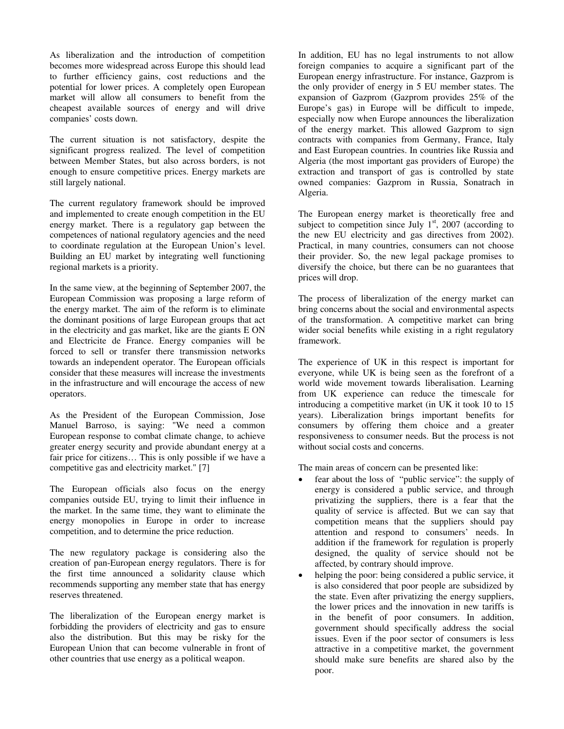As liberalization and the introduction of competition becomes more widespread across Europe this should lead to further efficiency gains, cost reductions and the potential for lower prices. A completely open European market will allow all consumers to benefit from the cheapest available sources of energy and will drive companies' costs down.

The current situation is not satisfactory, despite the significant progress realized. The level of competition between Member States, but also across borders, is not enough to ensure competitive prices. Energy markets are still largely national.

The current regulatory framework should be improved and implemented to create enough competition in the EU energy market. There is a regulatory gap between the competences of national regulatory agencies and the need to coordinate regulation at the European Union's level. Building an EU market by integrating well functioning regional markets is a priority.

In the same view, at the beginning of September 2007, the European Commission was proposing a large reform of the energy market. The aim of the reform is to eliminate the dominant positions of large European groups that act in the electricity and gas market, like are the giants E ON and Electricite de France. Energy companies will be forced to sell or transfer there transmission networks towards an independent operator. The European officials consider that these measures will increase the investments in the infrastructure and will encourage the access of new operators.

As the President of the European Commission, Jose Manuel Barroso, is saying: "We need a common European response to combat climate change, to achieve greater energy security and provide abundant energy at a fair price for citizens… This is only possible if we have a competitive gas and electricity market." [7]

The European officials also focus on the energy companies outside EU, trying to limit their influence in the market. In the same time, they want to eliminate the energy monopolies in Europe in order to increase competition, and to determine the price reduction.

The new regulatory package is considering also the creation of pan-European energy regulators. There is for the first time announced a solidarity clause which recommends supporting any member state that has energy reserves threatened.

The liberalization of the European energy market is forbidding the providers of electricity and gas to ensure also the distribution. But this may be risky for the European Union that can become vulnerable in front of other countries that use energy as a political weapon.

In addition, EU has no legal instruments to not allow foreign companies to acquire a significant part of the European energy infrastructure. For instance, Gazprom is the only provider of energy in 5 EU member states. The expansion of Gazprom (Gazprom provides 25% of the Europe's gas) in Europe will be difficult to impede, especially now when Europe announces the liberalization of the energy market. This allowed Gazprom to sign contracts with companies from Germany, France, Italy and East European countries. In countries like Russia and Algeria (the most important gas providers of Europe) the extraction and transport of gas is controlled by state owned companies: Gazprom in Russia, Sonatrach in Algeria.

The European energy market is theoretically free and subject to competition since July  $1<sup>st</sup>$ , 2007 (according to the new EU electricity and gas directives from 2002). Practical, in many countries, consumers can not choose their provider. So, the new legal package promises to diversify the choice, but there can be no guarantees that prices will drop.

The process of liberalization of the energy market can bring concerns about the social and environmental aspects of the transformation. A competitive market can bring wider social benefits while existing in a right regulatory framework.

The experience of UK in this respect is important for everyone, while UK is being seen as the forefront of a world wide movement towards liberalisation. Learning from UK experience can reduce the timescale for introducing a competitive market (in UK it took 10 to 15 years). Liberalization brings important benefits for consumers by offering them choice and a greater responsiveness to consumer needs. But the process is not without social costs and concerns.

The main areas of concern can be presented like:

- fear about the loss of "public service": the supply of energy is considered a public service, and through privatizing the suppliers, there is a fear that the quality of service is affected. But we can say that competition means that the suppliers should pay attention and respond to consumers' needs. In addition if the framework for regulation is properly designed, the quality of service should not be affected, by contrary should improve.
- helping the poor: being considered a public service, it is also considered that poor people are subsidized by the state. Even after privatizing the energy suppliers, the lower prices and the innovation in new tariffs is in the benefit of poor consumers. In addition, government should specifically address the social issues. Even if the poor sector of consumers is less attractive in a competitive market, the government should make sure benefits are shared also by the poor.